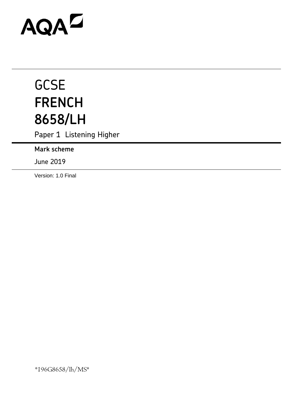# AQAD

# **GCSE FRENCH 8658/LH**

Paper 1 Listening Higher

**Mark scheme**

June 2019

Version: 1.0 Final

\*196G8658/lh/MS\*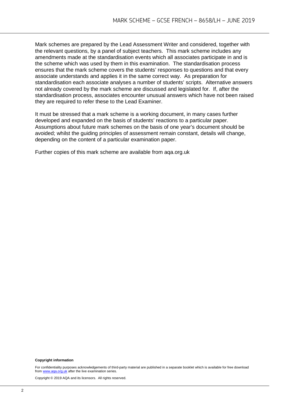Mark schemes are prepared by the Lead Assessment Writer and considered, together with the relevant questions, by a panel of subject teachers. This mark scheme includes any amendments made at the standardisation events which all associates participate in and is the scheme which was used by them in this examination. The standardisation process ensures that the mark scheme covers the students' responses to questions and that every associate understands and applies it in the same correct way. As preparation for standardisation each associate analyses a number of students' scripts. Alternative answers not already covered by the mark scheme are discussed and legislated for. If, after the standardisation process, associates encounter unusual answers which have not been raised they are required to refer these to the Lead Examiner.

It must be stressed that a mark scheme is a working document, in many cases further developed and expanded on the basis of students' reactions to a particular paper. Assumptions about future mark schemes on the basis of one year's document should be avoided; whilst the guiding principles of assessment remain constant, details will change, depending on the content of a particular examination paper.

Further copies of this mark scheme are available from aqa.org.uk

#### **Copyright information**

For confidentiality purposes acknowledgements of third-party material are published in a separate booklet which is available for free download from www.aga.org.uk after the live examination series.  $uk$  after the live examination series.

Copyright © 2019 AQA and its licensors. All rights reserved.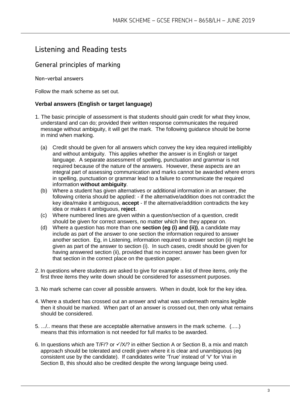# Listening and Reading tests

## General principles of marking

Non-verbal answers

Follow the mark scheme as set out.

### **Verbal answers (English or target language)**

- 1. The basic principle of assessment is that students should gain credit for what they know, understand and can do; provided their written response communicates the required message without ambiguity, it will get the mark. The following guidance should be borne in mind when marking.
	- (a) Credit should be given for all answers which convey the key idea required intelligibly and without ambiguity. This applies whether the answer is in English or target language. A separate assessment of spelling, punctuation and grammar is not required because of the nature of the answers. However, these aspects are an integral part of assessing communication and marks cannot be awarded where errors in spelling, punctuation or grammar lead to a failure to communicate the required information **without ambiguity**.
	- (b) Where a student has given alternatives or additional information in an answer, the following criteria should be applied: - if the alternative/addition does not contradict the key idea/make it ambiguous, **accept** - If the alternative/addition contradicts the key idea or makes it ambiguous, **reject**.
	- (c) Where numbered lines are given within a question/section of a question, credit should be given for correct answers, no matter which line they appear on.
	- (d) Where a question has more than one **section (eg (i) and (ii))**, a candidate may include as part of the answer to one section the information required to answer another section. Eg, in Listening, information required to answer section (ii) might be given as part of the answer to section (i). In such cases, credit should be given for having answered section (ii), provided that no incorrect answer has been given for that section in the correct place on the question paper.
- 2. In questions where students are asked to give for example a list of three items, only the first three items they write down should be considered for assessment purposes.
- 3. No mark scheme can cover all possible answers. When in doubt, look for the key idea.
- 4. Where a student has crossed out an answer and what was underneath remains legible then it should be marked. When part of an answer is crossed out, then only what remains should be considered.
- 5. .../.. means that these are acceptable alternative answers in the mark scheme. (.....) means that this information is not needed for full marks to be awarded.
- 6. In questions which are  $T/F$ ? or  $\checkmark$  X/? in either Section A or Section B, a mix and match approach should be tolerated and credit given where it is clear and unambiguous (eg consistent use by the candidate). If candidates write 'True' instead of 'V' for Vrai in Section B, this should also be credited despite the wrong language being used.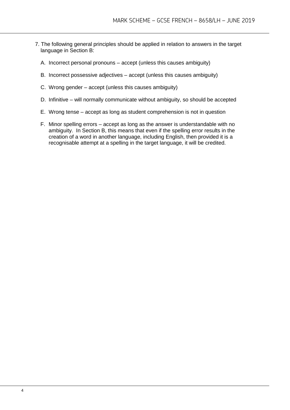- 7. The following general principles should be applied in relation to answers in the target language in Section B:
	- A. Incorrect personal pronouns accept (unless this causes ambiguity)
	- B. Incorrect possessive adjectives accept (unless this causes ambiguity)
	- C. Wrong gender accept (unless this causes ambiguity)
	- D. Infinitive will normally communicate without ambiguity, so should be accepted
	- E. Wrong tense accept as long as student comprehension is not in question
	- F. Minor spelling errors accept as long as the answer is understandable with no ambiguity. In Section B, this means that even if the spelling error results in the creation of a word in another language, including English, then provided it is a recognisable attempt at a spelling in the target language, it will be credited.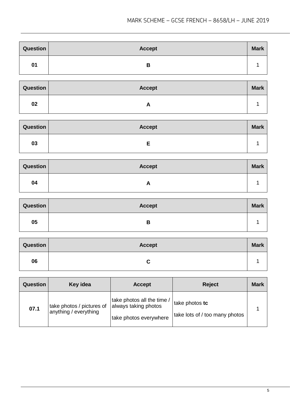| Question | <b>Accept</b> | <b>Mark</b> |
|----------|---------------|-------------|
| 01       | В             |             |

| Question | <b>Accept</b> | <b>Mark</b> |
|----------|---------------|-------------|
| 02       | n             |             |

| Question | <b>Accept</b> | <b>Mark</b> |
|----------|---------------|-------------|
| 03       |               |             |

| Question | <b>Accept</b> | <b>Mark</b> |
|----------|---------------|-------------|
| 04       |               |             |

| <b>Question</b> | Accept | <b>Mark</b> |
|-----------------|--------|-------------|
| 05              | D      |             |

| Question | <b>Accept</b> | <b>Mark</b> |
|----------|---------------|-------------|
| 06       | ື             |             |

| <b>Question</b> | Key idea                                           | <b>Accept</b>                                                                | <b>Reject</b>                                    | <b>Mark</b> |
|-----------------|----------------------------------------------------|------------------------------------------------------------------------------|--------------------------------------------------|-------------|
| 07.1            | take photos / pictures of<br>anything / everything | take photos all the time /<br>always taking photos<br>take photos everywhere | take photos tc<br>take lots of / too many photos |             |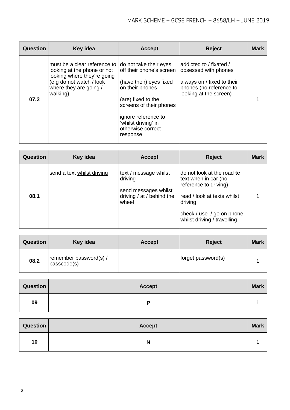| Question | Key idea                                                                                                                                                       | <b>Accept</b>                                                                                                                                                                                                                    | <b>Reject</b>                                                                                                                      | <b>Mark</b> |
|----------|----------------------------------------------------------------------------------------------------------------------------------------------------------------|----------------------------------------------------------------------------------------------------------------------------------------------------------------------------------------------------------------------------------|------------------------------------------------------------------------------------------------------------------------------------|-------------|
| 07.2     | must be a clear reference to I<br>looking at the phone or not<br>looking where they're going<br>(e.g do not watch / look<br>where they are going /<br>walking) | do not take their eyes<br>off their phone's screen<br>(have their) eyes fixed<br>on their phones<br>(are) fixed to the<br>screens of their phones<br>ignore reference to<br>'whilst driving' in<br>otherwise correct<br>response | addicted to / fixated /<br>obsessed with phones<br>always on / fixed to their<br>phones (no reference to<br>looking at the screen) |             |

| <b>Question</b> | Key idea                   | <b>Accept</b>                                                                                  | <b>Reject</b>                                                                                                                                                                     | <b>Mark</b> |
|-----------------|----------------------------|------------------------------------------------------------------------------------------------|-----------------------------------------------------------------------------------------------------------------------------------------------------------------------------------|-------------|
| 08.1            | send a text whilst driving | text / message whilst<br>driving<br>send messages whilst<br>driving / at / behind the<br>wheel | do not look at the road to<br>text when in car (no<br>reference to driving)<br>read / look at texts whilst<br>driving<br>check / use / go on phone<br>whilst driving / travelling |             |

| <b>Question</b> | Key idea                              | <b>Accept</b> | <b>Reject</b>      | <b>Mark</b> |
|-----------------|---------------------------------------|---------------|--------------------|-------------|
| 08.2            | remember password(s) /<br>passcode(s) |               | forget password(s) |             |

| Question | <b>Accept</b> | <b>Mark</b> |
|----------|---------------|-------------|
| 09       |               |             |

| Question | <b>Accept</b> | <b>Mark</b> |
|----------|---------------|-------------|
| 10       | N             |             |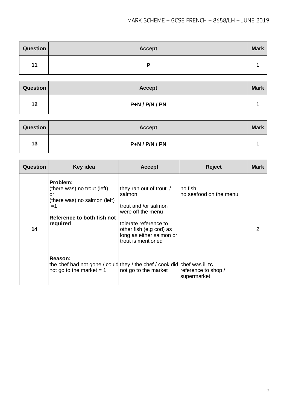| <b>Question</b> | <b>Accept</b> | <b>Mark</b> |
|-----------------|---------------|-------------|
| 11              | D             |             |

| <b>Question</b> | <b>Accept</b>    | <b>Mark</b> |
|-----------------|------------------|-------------|
| 12              | $P+N / P/N / PN$ |             |

| Question | <b>Accept</b>    | <b>Mark</b> |
|----------|------------------|-------------|
| 13       | $P+N / P/N / PN$ |             |

| <b>Question</b> | Key idea                                                                                                                        | <b>Accept</b>                                                                                                                                                                        | <b>Reject</b>                      | Mark |
|-----------------|---------------------------------------------------------------------------------------------------------------------------------|--------------------------------------------------------------------------------------------------------------------------------------------------------------------------------------|------------------------------------|------|
| 14              | Problem:<br>(there was) no trout (left)<br>or<br>(there was) no salmon (left)<br>$=1$<br>Reference to both fish not<br>required | they ran out of trout /<br>salmon<br>trout and /or salmon<br>were off the menu<br>tolerate reference to<br>other fish (e.g cod) as<br>long as either salmon or<br>trout is mentioned | no fish<br>no seafood on the menu  |      |
|                 | Reason:<br>the chef had not gone / could they / the chef / cook did chef was ill to<br>not go to the market $= 1$               | not go to the market                                                                                                                                                                 | reference to shop /<br>supermarket |      |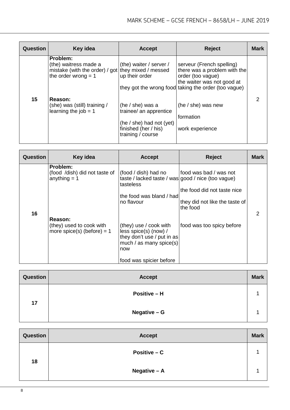| Question | Key idea                                                                                                         | <b>Accept</b>                                                                                                         | <b>Reject</b>                                                                                                                                                        | <b>Mark</b> |
|----------|------------------------------------------------------------------------------------------------------------------|-----------------------------------------------------------------------------------------------------------------------|----------------------------------------------------------------------------------------------------------------------------------------------------------------------|-------------|
|          | Problem:<br>(the) waitress made a<br>mistake (with the order) / got they mixed / messed<br>the order wrong $= 1$ | (the) waiter / server /<br>up their order                                                                             | serveur (French spelling)<br>there was a problem with the<br>order (too vague)<br>the waiter was not good at<br>they got the wrong food taking the order (too vague) |             |
| 15       | Reason:<br>(she) was (still) training /<br>learning the $job = 1$                                                | (he $/$ she) was a<br>trainee/ an apprentice<br>(he / she) had not (yet)<br>finished (her / his)<br>training / course | (he / she) was new<br>formation<br>work experience                                                                                                                   |             |

| <b>Question</b> | Key idea                                                            | <b>Accept</b>                                                                                                                              | <b>Reject</b>                                                                                       | <b>Mark</b> |
|-----------------|---------------------------------------------------------------------|--------------------------------------------------------------------------------------------------------------------------------------------|-----------------------------------------------------------------------------------------------------|-------------|
| 16              | Problem:<br>(food /dish) did not taste of<br>anything $= 1$         | (food / dish) had no<br>taste / lacked taste / was good / nice (too vague)<br>tasteless<br>the food was bland / had<br>no flavour          | food was bad / was not<br>the food did not taste nice<br>they did not like the taste of<br>the food |             |
|                 | Reason:<br>(they) used to cook with<br>more spice(s) (before) = $1$ | (they) use / cook with<br>less spice(s) (now) /<br>they don't use / put in as<br>much / as many spice(s)<br>now<br>food was spicier before | food was too spicy before                                                                           |             |

| <b>Question</b> | <b>Accept</b>       | <b>Mark</b> |
|-----------------|---------------------|-------------|
| 17              | <b>Positive – H</b> |             |
|                 | Negative - G        |             |

| Question | <b>Accept</b>  | <b>Mark</b> |
|----------|----------------|-------------|
| 18       | Positive $- C$ |             |
|          | Negative - A   |             |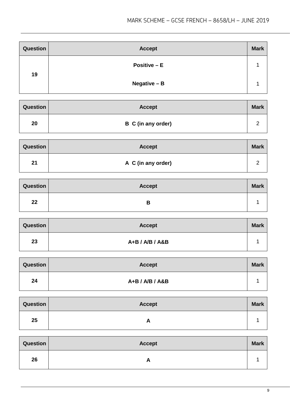| <b>Question</b> | <b>Accept</b> | <b>Mark</b> |
|-----------------|---------------|-------------|
| 19              | Positive $-E$ |             |
|                 | Negative - B  |             |

| <b>Question</b> | <b>Accept</b>      | <b>Mark</b> |
|-----------------|--------------------|-------------|
| 20              | B C (in any order) |             |

| Question | <b>Accept</b>      | <b>Mark</b> |
|----------|--------------------|-------------|
| 21       | A C (in any order) |             |

| <b>Question</b> | <b>Accept</b> | <b>Mark</b> |
|-----------------|---------------|-------------|
| 22              | В             |             |

| Question | <b>Accept</b>   | <b>Mark</b> |
|----------|-----------------|-------------|
| 23       | A+B / A/B / A&B |             |

| <b>Question</b> | <b>Accept</b>   | <b>Mark</b> |
|-----------------|-----------------|-------------|
| 24              | A+B / A/B / A&B |             |

| Question | <b>Accept</b> | <b>Mark</b> |
|----------|---------------|-------------|
| 25       | <u>гч</u>     |             |

| Question | <b>Accept</b> | <b>Mark</b> |
|----------|---------------|-------------|
| 26       |               |             |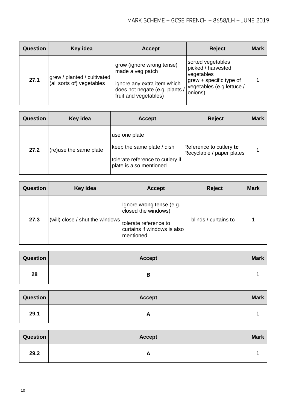| <b>Question</b> | Key idea                                                 | <b>Accept</b>                                                                                                                           | <b>Reject</b>                                                                                                            | <b>Mark</b> |
|-----------------|----------------------------------------------------------|-----------------------------------------------------------------------------------------------------------------------------------------|--------------------------------------------------------------------------------------------------------------------------|-------------|
| 27.1            | grew / planted / cultivated<br>(all sorts of) vegetables | grow (ignore wrong tense)<br>made a veg patch<br>ignore any extra item which<br>does not negate (e.g. plants /<br>fruit and vegetables) | sorted vegetables<br>picked / harvested<br>vegetables<br>grew + specific type of<br>vegetables (e.g lettuce /<br>onions) |             |

| Question | Key idea                | <b>Accept</b>                                                                                              | <b>Reject</b>                                        | <b>Mark</b> |
|----------|-------------------------|------------------------------------------------------------------------------------------------------------|------------------------------------------------------|-------------|
| 27.2     | (re) use the same plate | use one plate<br>keep the same plate / dish<br>tolerate reference to cutlery if<br>plate is also mentioned | Reference to cutlery to<br>Recyclable / paper plates |             |

| <b>Question</b> | Key idea                        | <b>Accept</b>                                                                                                        | <b>Reject</b>        | <b>Mark</b> |
|-----------------|---------------------------------|----------------------------------------------------------------------------------------------------------------------|----------------------|-------------|
| 27.3            | (will) close / shut the windows | Ignore wrong tense (e.g.<br>closed the windows)<br>tolerate reference to<br>curtains if windows is also<br>mentioned | blinds / curtains tc |             |

| Question | <b>Accept</b> | <b>Mark</b> |
|----------|---------------|-------------|
| 28       | В             |             |

| Question | <b>Accept</b> | <b>Mark</b> |
|----------|---------------|-------------|
| 29.1     | Ē             |             |

| Question | <b>Accept</b> | <b>Mark</b> |
|----------|---------------|-------------|
| 29.2     | <b>n</b>      |             |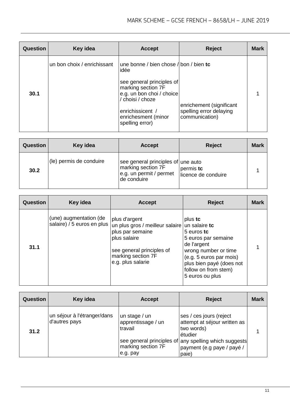| Question | Key idea                    | <b>Accept</b>                                                                                                                                                  | <b>Reject</b>                                                         | <b>Mark</b> |
|----------|-----------------------------|----------------------------------------------------------------------------------------------------------------------------------------------------------------|-----------------------------------------------------------------------|-------------|
|          | un bon choix / enrichissant | une bonne / bien chose / bon / bien $tc$<br>idée                                                                                                               |                                                                       |             |
| 30.1     |                             | see general principles of<br>marking section 7F<br>e.g. un bon choi / choice<br>/ choisi / choze<br>enrichissicent /<br>enrichesment (minor<br>spelling error) | enrichement (significant<br>spelling error delaying<br>communication) |             |

| <b>Question</b> | Key idea                | <b>Accept</b>                                                                                      | <b>Reject</b>                    | <b>Mark</b> |
|-----------------|-------------------------|----------------------------------------------------------------------------------------------------|----------------------------------|-------------|
| 30.2            | (le) permis de conduire | see general principles of une auto<br>marking section 7F<br>e.g. un permit / permet<br>de conduire | permis tc<br>licence de conduire |             |

| <b>Question</b> | Key idea                                             | <b>Accept</b>                                                                                                                                                | <b>Reject</b>                                                                                                                                                                                          | <b>Mark</b> |
|-----------------|------------------------------------------------------|--------------------------------------------------------------------------------------------------------------------------------------------------------------|--------------------------------------------------------------------------------------------------------------------------------------------------------------------------------------------------------|-------------|
| 31.1            | (une) augmentation (de<br>salaire) / 5 euros en plus | plus d'argent<br>un plus gros / meilleur salaire<br>plus par semaine<br>plus salaire<br>see general principles of<br>marking section 7F<br>e.g. plus salarie | plus tc<br>un salaire tc<br>5 euros tc<br>5 euros par semaine<br>de l'argent<br>wrong number or time<br>(e.g. 5 euros par mois)<br>plus bien payé (does not<br>follow on from stem)<br>5 euros ou plus |             |

| <b>Question</b> | Key idea                                     | <b>Accept</b>                                  | <b>Reject</b>                                                                                                                             | <b>Mark</b> |
|-----------------|----------------------------------------------|------------------------------------------------|-------------------------------------------------------------------------------------------------------------------------------------------|-------------|
| 31.2            | un séjour à l'étranger/dans<br>d'autres pays | un stage / un<br>apprentissage / un<br>travail | ses / ces jours (reject<br>attempt at séjour written as<br>two words)<br>étudier<br>see general principles of any spelling which suggests |             |
|                 |                                              | marking section 7F<br>e.g. pay                 | payment (e.g paye / payé /<br>paie)                                                                                                       |             |